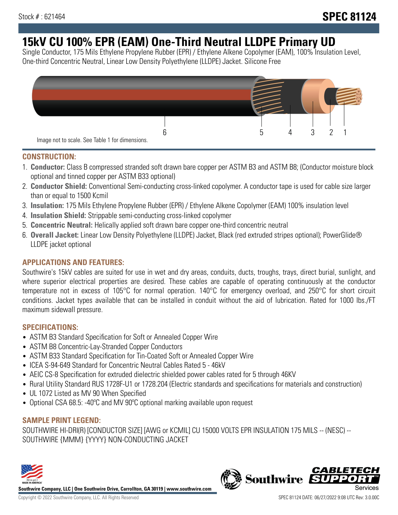# **15kV CU 100% EPR (EAM) One-Third Neutral LLDPE Primary UD**

Single Conductor, 175 Mils Ethylene Propylene Rubber (EPR) / Ethylene Alkene Copolymer (EAM), 100% Insulation Level, One-third Concentric Neutral, Linear Low Density Polyethylene (LLDPE) Jacket. Silicone Free



### **CONSTRUCTION:**

- 1. **Conductor:** Class B compressed stranded soft drawn bare copper per ASTM B3 and ASTM B8; (Conductor moisture block optional and tinned copper per ASTM B33 optional)
- 2. **Conductor Shield:** Conventional Semi-conducting cross-linked copolymer. A conductor tape is used for cable size larger than or equal to 1500 Kcmil
- 3. **Insulation:** 175 Mils Ethylene Propylene Rubber (EPR) / Ethylene Alkene Copolymer (EAM) 100% insulation level
- 4. **Insulation Shield:** Strippable semi-conducting cross-linked copolymer
- 5. **Concentric Neutral:** Helically applied soft drawn bare copper one-third concentric neutral
- 6. **Overall Jacket:** Linear Low Density Polyethylene (LLDPE) Jacket, Black (red extruded stripes optional); PowerGlide® LLDPE jacket optional

### **APPLICATIONS AND FEATURES:**

Southwire's 15kV cables are suited for use in wet and dry areas, conduits, ducts, troughs, trays, direct burial, sunlight, and where superior electrical properties are desired. These cables are capable of operating continuously at the conductor temperature not in excess of 105°C for normal operation. 140°C for emergency overload, and 250°C for short circuit conditions. Jacket types available that can be installed in conduit without the aid of lubrication. Rated for 1000 lbs./FT maximum sidewall pressure.

### **SPECIFICATIONS:**

- ASTM B3 Standard Specification for Soft or Annealed Copper Wire
- ASTM B8 Concentric-Lay-Stranded Copper Conductors
- ASTM B33 Standard Specification for Tin-Coated Soft or Annealed Copper Wire
- ICEA S-94-649 Standard for Concentric Neutral Cables Rated 5 46kV
- AEIC CS-8 Specification for extruded dielectric shielded power cables rated for 5 through 46KV
- Rural Utility Standard RUS 1728F-U1 or 1728.204 (Electric standards and specifications for materials and construction)
- UL 1072 Listed as MV 90 When Specified
- Optional CSA 68.5: -40°C and MV 90°C optional marking available upon request

### **SAMPLE PRINT LEGEND:**

SOUTHWIRE HI-DRI(R) [CONDUCTOR SIZE] [AWG or KCMIL] CU 15000 VOLTS EPR INSULATION 175 MILS -- (NESC) -- SOUTHWIRE {MMM} {YYYY} NON-CONDUCTING JACKET



**Southwire Company, LLC | One Southwire Drive, Carrollton, GA 30119 | www.southwire.com**